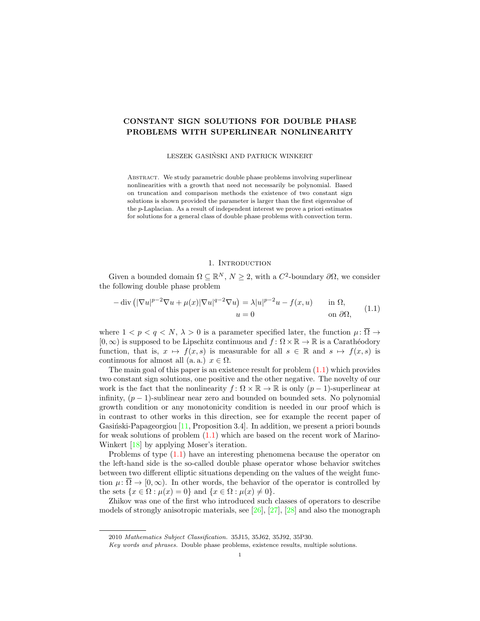# CONSTANT SIGN SOLUTIONS FOR DOUBLE PHASE PROBLEMS WITH SUPERLINEAR NONLINEARITY

LESZEK GASINSKI AND PATRICK WINKERT ´

ABSTRACT. We study parametric double phase problems involving superlinear nonlinearities with a growth that need not necessarily be polynomial. Based on truncation and comparison methods the existence of two constant sign solutions is shown provided the parameter is larger than the first eigenvalue of the p-Laplacian. As a result of independent interest we prove a priori estimates for solutions for a general class of double phase problems with convection term.

## 1. INTRODUCTION

Given a bounded domain  $\Omega \subseteq \mathbb{R}^N$ ,  $N \geq 2$ , with a  $C^2$ -boundary  $\partial \Omega$ , we consider the following double phase problem

<span id="page-0-0"></span>
$$
-\operatorname{div}\left(|\nabla u|^{p-2}\nabla u + \mu(x)|\nabla u|^{q-2}\nabla u\right) = \lambda |u|^{p-2}u - f(x, u) \quad \text{in } \Omega,
$$
  

$$
u = 0 \quad \text{on } \partial\Omega,
$$
 (1.1)

where  $1 < p < q < N$ ,  $\lambda > 0$  is a parameter specified later, the function  $\mu \colon \overline{\Omega} \to$  $[0, \infty)$  is supposed to be Lipschitz continuous and  $f : \Omega \times \mathbb{R} \to \mathbb{R}$  is a Carathéodory function, that is,  $x \mapsto f(x, s)$  is measurable for all  $s \in \mathbb{R}$  and  $s \mapsto f(x, s)$  is continuous for almost all  $(a, a)$ ,  $x \in \Omega$ .

The main goal of this paper is an existence result for problem  $(1.1)$  which provides two constant sign solutions, one positive and the other negative. The novelty of our work is the fact that the nonlinearity  $f: \Omega \times \mathbb{R} \to \mathbb{R}$  is only  $(p-1)$ -superlinear at infinity,  $(p-1)$ -sublinear near zero and bounded on bounded sets. No polynomial growth condition or any monotonicity condition is needed in our proof which is in contrast to other works in this direction, see for example the recent paper of Gasiński-Papageorgiou  $[11,$  Proposition 3.4]. In addition, we present a priori bounds for weak solutions of problem  $(1.1)$  which are based on the recent work of Marino-Winkert [\[18\]](#page-8-1) by applying Moser's iteration.

Problems of type [\(1.1\)](#page-0-0) have an interesting phenomena because the operator on the left-hand side is the so-called double phase operator whose behavior switches between two different elliptic situations depending on the values of the weight function  $\mu: \overline{\Omega} \to [0,\infty)$ . In other words, the behavior of the operator is controlled by the sets  $\{x \in \Omega : \mu(x) = 0\}$  and  $\{x \in \Omega : \mu(x) \neq 0\}.$ 

Zhikov was one of the first who introduced such classes of operators to describe models of strongly anisotropic materials, see [\[26\]](#page-8-2), [\[27\]](#page-8-3), [\[28\]](#page-8-4) and also the monograph

<sup>2010</sup> Mathematics Subject Classification. 35J15, 35J62, 35J92, 35P30.

Key words and phrases. Double phase problems, existence results, multiple solutions.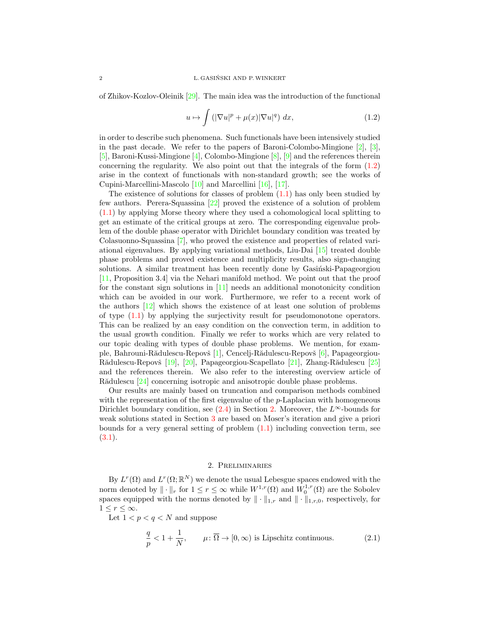of Zhikov-Kozlov-Oleinik [\[29\]](#page-8-5). The main idea was the introduction of the functional

<span id="page-1-0"></span>
$$
u \mapsto \int \left( |\nabla u|^p + \mu(x) |\nabla u|^q \right) dx, \tag{1.2}
$$

in order to describe such phenomena. Such functionals have been intensively studied in the past decade. We refer to the papers of Baroni-Colombo-Mingione [\[2\]](#page-7-0), [\[3\]](#page-7-1), [\[5\]](#page-7-2), Baroni-Kussi-Mingione [\[4\]](#page-7-3), Colombo-Mingione [\[8\]](#page-8-6), [\[9\]](#page-8-7) and the references therein concerning the regularity. We also point out that the integrals of the form [\(1.2\)](#page-1-0) arise in the context of functionals with non-standard growth; see the works of Cupini-Marcellini-Mascolo [\[10\]](#page-8-8) and Marcellini [\[16\]](#page-8-9), [\[17\]](#page-8-10).

The existence of solutions for classes of problem  $(1.1)$  has only been studied by few authors. Perera-Squassina [\[22\]](#page-8-11) proved the existence of a solution of problem [\(1.1\)](#page-0-0) by applying Morse theory where they used a cohomological local splitting to get an estimate of the critical groups at zero. The corresponding eigenvalue problem of the double phase operator with Dirichlet boundary condition was treated by Colasuonno-Squassina [\[7\]](#page-7-4), who proved the existence and properties of related variational eigenvalues. By applying variational methods, Liu-Dai [\[15\]](#page-8-12) treated double phase problems and proved existence and multiplicity results, also sign-changing solutions. A similar treatment has been recently done by Gasinski-Papageorgiou [\[11,](#page-8-0) Proposition 3.4] via the Nehari manifold method. We point out that the proof for the constant sign solutions in [\[11\]](#page-8-0) needs an additional monotonicity condition which can be avoided in our work. Furthermore, we refer to a recent work of the authors [\[12\]](#page-8-13) which shows the existence of at least one solution of problems of type [\(1.1\)](#page-0-0) by applying the surjectivity result for pseudomonotone operators. This can be realized by an easy condition on the convection term, in addition to the usual growth condition. Finally we refer to works which are very related to our topic dealing with types of double phase problems. We mention, for exam-ple, Bahrouni-Rădulescu-Repovš [\[1\]](#page-7-5), Cencelj-Rădulescu-Repovš [\[6\]](#page-7-6), Papageorgiou-Rădulescu-Repovš [\[19\]](#page-8-14), [\[20\]](#page-8-15), Papageorgiou-Scapellato [\[21\]](#page-8-16), Zhang-Rădulescu [\[25\]](#page-8-17) and the references therein. We also refer to the interesting overview article of Rădulescu [\[24\]](#page-8-18) concerning isotropic and anisotropic double phase problems.

Our results are mainly based on truncation and comparison methods combined with the representation of the first eigenvalue of the p-Laplacian with homogeneous Dirichlet boundary condition, see [\(2.4\)](#page-3-0) in Section [2.](#page-1-1) Moreover, the  $L^{\infty}$ -bounds for weak solutions stated in Section [3](#page-4-0) are based on Moser's iteration and give a priori bounds for a very general setting of problem  $(1.1)$  including convection term, see  $(3.1).$  $(3.1).$ 

## <span id="page-1-2"></span>2. Preliminaries

<span id="page-1-1"></span>By  $L^r(\Omega)$  and  $L^r(\Omega;\mathbb{R}^N)$  we denote the usual Lebesgue spaces endowed with the norm denoted by  $\|\cdot\|_r$  for  $1 \leq r \leq \infty$  while  $W^{1,r}(\Omega)$  and  $W^{1,r}_0(\Omega)$  are the Sobolev spaces equipped with the norms denoted by  $\|\cdot\|_{1,r}$  and  $\|\cdot\|_{1,r,0}$ , respectively, for  $1 \leq r \leq \infty$ .

Let  $1 < p < q < N$  and suppose

$$
\frac{q}{p} < 1 + \frac{1}{N}, \qquad \mu \colon \overline{\Omega} \to [0, \infty) \text{ is Lipschitz continuous.} \tag{2.1}
$$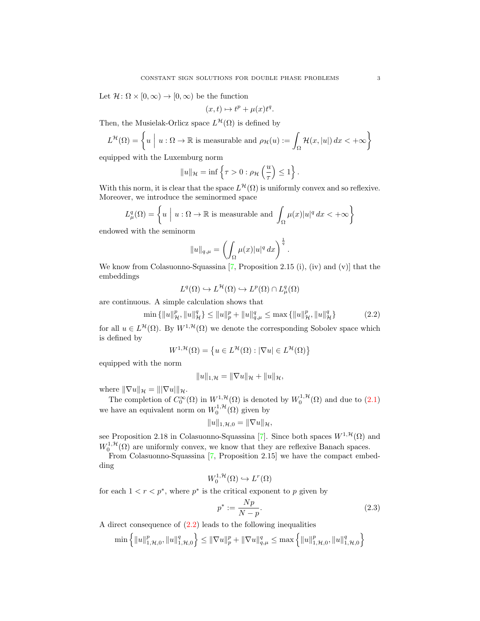Let  $\mathcal{H} \colon \Omega \times [0, \infty) \to [0, \infty)$  be the function

$$
(x,t)\mapsto t^p+\mu(x)t^q.
$$

Then, the Musielak-Orlicz space  $L^{\mathcal{H}}(\Omega)$  is defined by

$$
L^{\mathcal{H}}(\Omega) = \left\{ u \mid u : \Omega \to \mathbb{R} \text{ is measurable and } \rho_{\mathcal{H}}(u) := \int_{\Omega} \mathcal{H}(x, |u|) dx < +\infty \right\}
$$

equipped with the Luxemburg norm

$$
||u||_{\mathcal{H}} = \inf \left\{ \tau > 0 : \rho_{\mathcal{H}} \left( \frac{u}{\tau} \right) \le 1 \right\}.
$$

With this norm, it is clear that the space  $L^{\mathcal{H}}(\Omega)$  is uniformly convex and so reflexive. Moreover, we introduce the seminormed space

$$
L^q_\mu(\Omega) = \left\{ u \mid u : \Omega \to \mathbb{R} \text{ is measurable and } \int_{\Omega} \mu(x) |u|^q \, dx < +\infty \right\}
$$

endowed with the seminorm

$$
||u||_{q,\mu} = \left(\int_{\Omega} \mu(x)|u|^q dx\right)^{\frac{1}{q}}
$$

We know from Colasuonno-Squassina [\[7,](#page-7-4) Proposition 2.15 (i), (iv) and (v)] that the embeddings

$$
L^q(\Omega) \hookrightarrow L^{\mathcal{H}}(\Omega) \hookrightarrow L^p(\Omega) \cap L^q_{\mu}(\Omega)
$$

are continuous. A simple calculation shows that

$$
\min\left\{||u||_{\mathcal{H}}^{p},\|u\|_{\mathcal{H}}^{q}\right\} \leq \|u\|_{p}^{p} + \|u\|_{q,\mu}^{q} \leq \max\left\{||u\|_{\mathcal{H}}^{p},\|u\|_{\mathcal{H}}^{q}\right\} \tag{2.2}
$$

<span id="page-2-0"></span>.

for all  $u \in L^{\mathcal{H}}(\Omega)$ . By  $W^{1,\mathcal{H}}(\Omega)$  we denote the corresponding Sobolev space which is defined by

$$
W^{1,\mathcal{H}}(\Omega) = \left\{ u \in L^{\mathcal{H}}(\Omega) : |\nabla u| \in L^{\mathcal{H}}(\Omega) \right\}
$$

equipped with the norm

$$
||u||_{1,\mathcal{H}} = ||\nabla u||_{\mathcal{H}} + ||u||_{\mathcal{H}},
$$

where  $\|\nabla u\|_{\mathcal{H}} = \|\nabla u\|_{\mathcal{H}}.$ 

The completion of  $C_0^{\infty}(\Omega)$  in  $W^{1,\mathcal{H}}(\Omega)$  is denoted by  $W_0^{1,\mathcal{H}}(\Omega)$  and due to  $(2.1)$ we have an equivalent norm on  $W_0^{1,\mathcal{H}}(\Omega)$  given by

$$
||u||_{1,\mathcal{H},0}=||\nabla u||_{\mathcal{H}},
$$

see Proposition 2.18 in Colasuonno-Squassina [\[7\]](#page-7-4). Since both spaces  $W^{1, \mathcal{H}}(\Omega)$  and  $W_0^{1, \mathcal{H}}(\Omega)$  are uniformly convex, we know that they are reflexive Banach spaces.

From Colasuonno-Squassina [\[7,](#page-7-4) Proposition 2.15] we have the compact embedding

$$
W_0^{1,\mathcal{H}}(\Omega) \hookrightarrow L^r(\Omega)
$$

for each  $1 < r < p^*$ , where  $p^*$  is the critical exponent to p given by

<span id="page-2-1"></span>
$$
p^* := \frac{Np}{N - p}.\tag{2.3}
$$

A direct consequence of [\(2.2\)](#page-2-0) leads to the following inequalities

$$
\min\left\{\|u\|_{1,\mathcal{H},0}^p,\|u\|_{1,\mathcal{H},0}^q\right\} \le \|\nabla u\|_p^p + \|\nabla u\|_{q,\mu}^q \le \max\left\{\|u\|_{1,\mathcal{H},0}^p,\|u\|_{1,\mathcal{H},0}^q\right\}
$$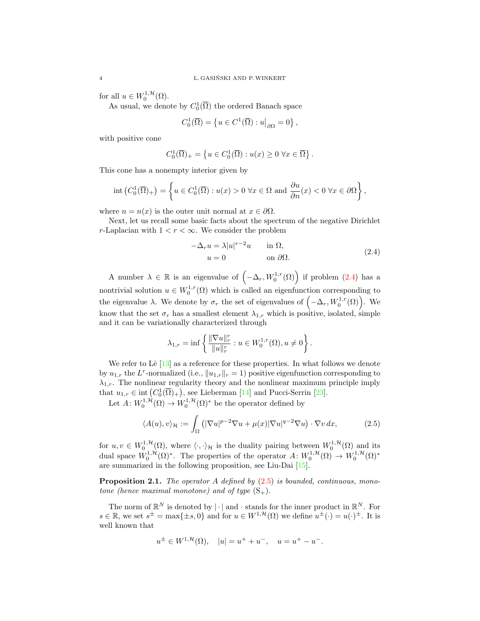for all  $u \in W_0^{1, \mathcal{H}}(\Omega)$ .

As usual, we denote by  $C_0^1(\overline{\Omega})$  the ordered Banach space

$$
C_0^1(\overline{\Omega}) = \left\{ u \in C^1(\overline{\Omega}) : u \middle|_{\partial \Omega} = 0 \right\},\,
$$

with positive cone

$$
C_0^1(\overline{\Omega})_+ = \left\{ u \in C_0^1(\overline{\Omega}) : u(x) \ge 0 \,\,\forall x \in \overline{\Omega} \right\}.
$$

This cone has a nonempty interior given by

$$
\mathrm{int}\left(C_0^1(\overline{\Omega})_+\right) = \left\{ u \in C_0^1(\overline{\Omega}) : u(x) > 0 \,\,\forall x \in \Omega \,\,\mathrm{and}\,\, \frac{\partial u}{\partial n}(x) < 0 \,\,\forall x \in \partial\Omega \right\},\
$$

where  $n = n(x)$  is the outer unit normal at  $x \in \partial \Omega$ .

Next, let us recall some basic facts about the spectrum of the negative Dirichlet r-Laplacian with  $1 < r < \infty$ . We consider the problem

<span id="page-3-0"></span>
$$
-\Delta_r u = \lambda |u|^{r-2}u \quad \text{in } \Omega,
$$
  
 
$$
u = 0 \quad \text{on } \partial\Omega.
$$
 (2.4)

A number  $\lambda \in \mathbb{R}$  is an eigenvalue of  $(-\Delta_r, W_0^{1,r}(\Omega))$  if problem  $(2.4)$  has a nontrivial solution  $u \in W_0^{1,r}(\Omega)$  which is called an eigenfunction corresponding to the eigenvalue  $\lambda$ . We denote by  $\sigma_r$  the set of eigenvalues of  $(-\Delta_r, W_0^{1,r}(\Omega))$ . We know that the set  $\sigma_r$  has a smallest element  $\lambda_{1,r}$  which is positive, isolated, simple and it can be variationally characterized through

<span id="page-3-1"></span>
$$
\lambda_{1,r} = \inf \left\{ \frac{\|\nabla u\|_r^r}{\|u\|_r^r} : u \in W_0^{1,r}(\Omega), u \neq 0 \right\}.
$$

We refer to  $\text{Li}3$  as a reference for these properties. In what follows we denote by  $u_{1,r}$  the L<sup>r</sup>-normalized (i.e.,  $||u_{1,r}||_r = 1$ ) positive eigenfunction corresponding to  $\lambda_{1,r}$ . The nonlinear regularity theory and the nonlinear maximum principle imply that  $u_{1,r} \in \text{int}(C_0^1(\overline{\Omega})_+)$ , see Lieberman [\[14\]](#page-8-20) and Pucci-Serrin [\[23\]](#page-8-21).

Let  $A: W_0^{1,\mathcal{H}}(\Omega) \to W_0^{1,\mathcal{H}}(\Omega)^*$  be the operator defined by

$$
\langle A(u), v \rangle_{\mathcal{H}} := \int_{\Omega} \left( |\nabla u|^{p-2} \nabla u + \mu(x) |\nabla u|^{q-2} \nabla u \right) \cdot \nabla v \, dx,\tag{2.5}
$$

for  $u, v \in W_0^{1,\mathcal{H}}(\Omega)$ , where  $\langle \cdot, \cdot \rangle_{\mathcal{H}}$  is the duality pairing between  $W_0^{1,\mathcal{H}}(\Omega)$  and its dual space  $W_0^{1,\mathcal{H}}(\Omega)^*$ . The properties of the operator  $A: W_0^{1,\mathcal{H}}(\Omega) \to W_0^{1,\mathcal{H}}(\Omega)^*$ are summarized in the following proposition, see Liu-Dai [\[15\]](#page-8-12).

**Proposition 2.1.** The operator A defined by  $(2.5)$  is bounded, continuous, monotone (hence maximal monotone) and of type  $(S_+)$ .

The norm of  $\mathbb{R}^N$  is denoted by  $|\cdot|$  and  $\cdot$  stands for the inner product in  $\mathbb{R}^N$ . For  $s \in \mathbb{R}$ , we set  $s^{\pm} = \max\{\pm s, 0\}$  and for  $u \in W^{1, \mathcal{H}}(\Omega)$  we define  $u^{\pm}(\cdot) = u(\cdot)^{\pm}$ . It is well known that

$$
u^{\pm} \in W^{1,\mathcal{H}}(\Omega), \quad |u| = u^{+} + u^{-}, \quad u = u^{+} - u^{-}.
$$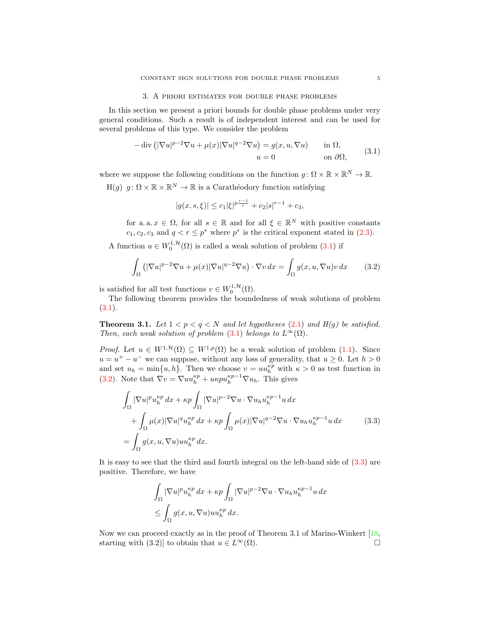### 3. A priori estimates for double phase problems

<span id="page-4-0"></span>In this section we present a priori bounds for double phase problems under very general conditions. Such a result is of independent interest and can be used for several problems of this type. We consider the problem

<span id="page-4-1"></span>
$$
-\operatorname{div}\left(|\nabla u|^{p-2}\nabla u + \mu(x)|\nabla u|^{q-2}\nabla u\right) = g(x, u, \nabla u) \quad \text{in } \Omega,
$$
  
\n
$$
u = 0 \quad \text{on } \partial\Omega,
$$
\n(3.1)

where we suppose the following conditions on the function  $g: \Omega \times \mathbb{R} \times \mathbb{R}^N \to \mathbb{R}$ .

 $H(g)$   $g: \Omega \times \mathbb{R} \times \mathbb{R}^N \to \mathbb{R}$  is a Carathéodory function satisfying

<span id="page-4-2"></span>
$$
|g(x, s, \xi)| \leq c_1 |\xi|^{p\frac{r-1}{r}} + c_2 |s|^{r-1} + c_3,
$$

for a.a.  $x \in \Omega$ , for all  $s \in \mathbb{R}$  and for all  $\xi \in \mathbb{R}^N$  with positive constants  $c_1, c_2, c_3$  and  $q < r \leq p^*$  where  $p^*$  is the critical exponent stated in [\(2.3\)](#page-2-1).

A function  $u \in W_0^{1,\mathcal{H}}(\Omega)$  is called a weak solution of problem  $(3.1)$  if

$$
\int_{\Omega} \left( |\nabla u|^{p-2} \nabla u + \mu(x) |\nabla u|^{q-2} \nabla u \right) \cdot \nabla v \, dx = \int_{\Omega} g(x, u, \nabla u) v \, dx \tag{3.2}
$$

is satisfied for all test functions  $v \in W_0^{1, \mathcal{H}}(\Omega)$ .

The following theorem provides the boundedness of weak solutions of problem  $(3.1).$  $(3.1).$ 

**Theorem 3.1.** Let  $1 < p < q < N$  and let hypotheses [\(2.1\)](#page-1-2) and  $H(g)$  be satisfied. Then, each weak solution of problem [\(3.1\)](#page-4-1) belongs to  $L^{\infty}(\Omega)$ .

*Proof.* Let  $u \in W^{1, \mathcal{H}}(\Omega) \subseteq W^{1, p}(\Omega)$  be a weak solution of problem [\(1.1\)](#page-0-0). Since  $u = u^{+} - u^{-}$  we can suppose, without any loss of generality, that  $u \ge 0$ . Let  $h > 0$ and set  $u_h = \min\{u, h\}$ . Then we choose  $v = uu_h^{\kappa p}$  with  $\kappa > 0$  as test function in [\(3.2\)](#page-4-2). Note that  $\nabla v = \nabla u u_h^{\kappa p} + u \kappa p u_h^{\kappa p-1} \nabla u_h$ . This gives

$$
\int_{\Omega} |\nabla u|^p u_h^{\kappa p} dx + \kappa p \int_{\Omega} |\nabla u|^{p-2} \nabla u \cdot \nabla u_h u_h^{\kappa p-1} u dx \n+ \int_{\Omega} \mu(x) |\nabla u|^q u_h^{\kappa p} dx + \kappa p \int_{\Omega} \mu(x) |\nabla u|^{q-2} \nabla u \cdot \nabla u_h u_h^{\kappa p-1} u dx
$$
\n(3.3)\n
$$
= \int_{\Omega} g(x, u, \nabla u) u u_h^{\kappa p} dx.
$$

It is easy to see that the third and fourth integral on the left-hand side of [\(3.3\)](#page-4-3) are positive. Therefore, we have

<span id="page-4-3"></span>
$$
\int_{\Omega} |\nabla u|^p u_h^{\kappa p} dx + \kappa p \int_{\Omega} |\nabla u|^{p-2} \nabla u \cdot \nabla u_h u_h^{\kappa p-1} u dx
$$
  
\n
$$
\leq \int_{\Omega} g(x, u, \nabla u) u u_h^{\kappa p} dx.
$$

Now we can proceed exactly as in the proof of Theorem 3.1 of Marino-Winkert [\[18,](#page-8-1) starting with (3.2)] to obtain that  $u \in L^{\infty}(\Omega)$ .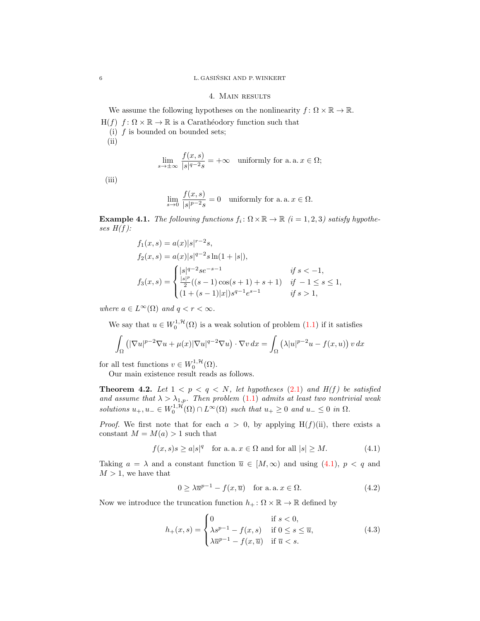#### 4. Main results

We assume the following hypotheses on the nonlinearity  $f: \Omega \times \mathbb{R} \to \mathbb{R}$ .  $H(f)$  f:  $\Omega \times \mathbb{R} \to \mathbb{R}$  is a Carathéodory function such that (i)  $f$  is bounded on bounded sets;  $(ii)$ 

$$
\lim_{s \to \pm \infty} \frac{f(x, s)}{|s|^{q-2} s} = +\infty \quad \text{uniformly for a. a. } x \in \Omega;
$$

(iii)

$$
\lim_{s \to 0} \frac{f(x, s)}{|s|^{p-2}s} = 0 \quad \text{uniformly for a. a. } x \in \Omega.
$$

**Example 4.1.** The following functions  $f_i: \Omega \times \mathbb{R} \to \mathbb{R}$  (i = 1, 2, 3) satisfy hypotheses  $H(f)$ :

$$
f_1(x, s) = a(x)|s|^{r-2}s,
$$
  
\n
$$
f_2(x, s) = a(x)|s|^{q-2}s\ln(1+|s|),
$$
  
\n
$$
f_3(x, s) = \begin{cases} |s|^{q-2}se^{-s-1} & \text{if } s < -1, \\ \frac{|s|^p}{2}((s-1)\cos(s+1)+s+1) & \text{if } -1 \le s \le 1, \\ (1+(s-1)|x|)s^{q-1}e^{s-1} & \text{if } s > 1, \end{cases}
$$

where  $a \in L^{\infty}(\Omega)$  and  $q < r < \infty$ .

We say that  $u \in W_0^{1,\mathcal{H}}(\Omega)$  is a weak solution of problem  $(1.1)$  if it satisfies

$$
\int_{\Omega} \left( |\nabla u|^{p-2} \nabla u + \mu(x) |\nabla u|^{q-2} \nabla u \right) \cdot \nabla v \, dx = \int_{\Omega} \left( \lambda |u|^{p-2} u - f(x, u) \right) v \, dx
$$

for all test functions  $v \in W_0^{1, \mathcal{H}}(\Omega)$ .

Our main existence result reads as follows.

**Theorem 4.2.** Let  $1 < p < q < N$ , let hypotheses [\(2.1\)](#page-1-2) and  $H(f)$  be satisfied and assume that  $\lambda > \lambda_{1,p}$ . Then problem [\(1.1\)](#page-0-0) admits at least two nontrivial weak solutions  $u_+, u_- \in W_0^{1,\mathcal{H}}(\Omega) \cap L^{\infty}(\Omega)$  such that  $u_+ \geq 0$  and  $u_- \leq 0$  in  $\Omega$ .

*Proof.* We first note that for each  $a > 0$ , by applying H(f)(ii), there exists a constant  $M = M(a) > 1$  such that

$$
f(x,s)s \ge a|s|^q \quad \text{for a. a. } x \in \Omega \text{ and for all } |s| \ge M. \tag{4.1}
$$

Taking  $a = \lambda$  and a constant function  $\overline{u} \in [M, \infty)$  and using [\(4.1\)](#page-5-0),  $p < q$  and  $M > 1$ , we have that

<span id="page-5-2"></span><span id="page-5-1"></span><span id="page-5-0"></span>
$$
0 \ge \lambda \overline{u}^{p-1} - f(x, \overline{u}) \quad \text{for a. a. } x \in \Omega.
$$
 (4.2)

Now we introduce the truncation function  $h_+ : \Omega \times \mathbb{R} \to \mathbb{R}$  defined by

$$
h_{+}(x,s) = \begin{cases} 0 & \text{if } s < 0, \\ \lambda s^{p-1} - f(x,s) & \text{if } 0 \le s \le \overline{u}, \\ \lambda \overline{u}^{p-1} - f(x,\overline{u}) & \text{if } \overline{u} < s. \end{cases} \tag{4.3}
$$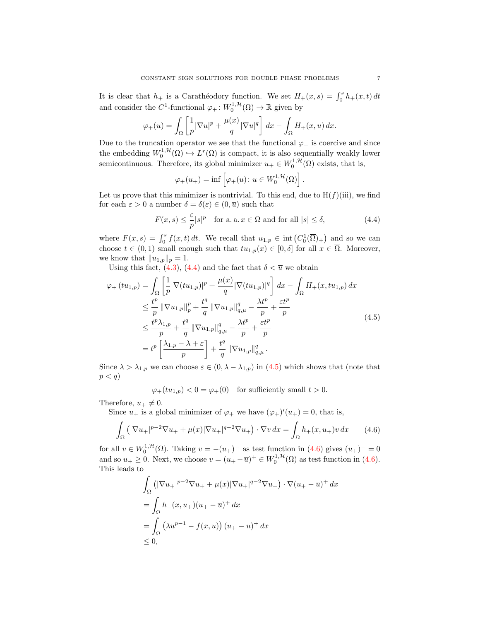It is clear that  $h_+$  is a Carathéodory function. We set  $H_+(x, s) = \int_0^s h_+(x, t) dt$ and consider the  $C^1$ -functional  $\varphi_+ : W_0^{1, \mathcal{H}}(\Omega) \to \mathbb{R}$  given by

$$
\varphi_+(u) = \int_{\Omega} \left[ \frac{1}{p} |\nabla u|^p + \frac{\mu(x)}{q} |\nabla u|^q \right] dx - \int_{\Omega} H_+(x, u) dx.
$$

Due to the truncation operator we see that the functional  $\varphi_+$  is coercive and since the embedding  $W_0^{1,\mathcal{H}}(\Omega) \hookrightarrow L^r(\Omega)$  is compact, it is also sequentially weakly lower semicontinuous. Therefore, its global minimizer  $u_+ \in W_0^{1, \mathcal{H}}(\Omega)$  exists, that is,

<span id="page-6-0"></span>
$$
\varphi_+(u_+) = \inf \left[ \varphi_+(u) \colon u \in W_0^{1,\mathcal{H}}(\Omega) \right].
$$

Let us prove that this minimizer is nontrivial. To this end, due to  $H(f)(iii)$ , we find for each  $\varepsilon > 0$  a number  $\delta = \delta(\varepsilon) \in (0, \overline{u})$  such that

$$
F(x,s) \le \frac{\varepsilon}{p} |s|^p \quad \text{for a. a. } x \in \Omega \text{ and for all } |s| \le \delta,
$$
 (4.4)

where  $F(x, s) = \int_0^s f(x, t) dt$ . We recall that  $u_{1,p} \in \text{int}(C_0^1(\overline{\Omega})_+)$  and so we can choose  $t \in (0,1)$  small enough such that  $tu_{1,p}(x) \in [0,\delta]$  for all  $x \in \overline{\Omega}$ . Moreover, we know that  $||u_{1,p}||_p = 1$ .

Using this fact, [\(4.3\)](#page-5-1), [\(4.4\)](#page-6-0) and the fact that  $\delta < \overline{u}$  we obtain

$$
\varphi_{+}(tu_{1,p}) = \int_{\Omega} \left[ \frac{1}{p} |\nabla(tu_{1,p})|^{p} + \frac{\mu(x)}{q} |\nabla(tu_{1,p})|^{q} \right] dx - \int_{\Omega} H_{+}(x, tu_{1,p}) dx
$$
  
\n
$$
\leq \frac{t^{p}}{p} ||\nabla u_{1,p}||_{p}^{p} + \frac{t^{q}}{q} ||\nabla u_{1,p}||_{q,\mu}^{q} - \frac{\lambda t^{p}}{p} + \frac{\varepsilon t^{p}}{p}
$$
  
\n
$$
\leq \frac{t^{p} \lambda_{1,p}}{p} + \frac{t^{q}}{q} ||\nabla u_{1,p}||_{q,\mu}^{q} - \frac{\lambda t^{p}}{p} + \frac{\varepsilon t^{p}}{p}
$$
  
\n
$$
= t^{p} \left[ \frac{\lambda_{1,p} - \lambda + \varepsilon}{p} \right] + \frac{t^{q}}{q} ||\nabla u_{1,p}||_{q,\mu}^{q}.
$$
\n(4.5)

Since  $\lambda > \lambda_{1,p}$  we can choose  $\varepsilon \in (0, \lambda - \lambda_{1,p})$  in  $(4.5)$  which shows that (note that  $p < q$ 

<span id="page-6-2"></span><span id="page-6-1"></span>
$$
\varphi_+(tu_{1,p}) < 0 = \varphi_+(0)
$$
 for sufficiently small  $t > 0$ .

Therefore,  $u_+ \neq 0$ .

Since  $u_+$  is a global minimizer of  $\varphi_+$  we have  $(\varphi_+)'(u_+) = 0$ , that is,

$$
\int_{\Omega} \left( |\nabla u_+|^{p-2} \nabla u_+ + \mu(x) |\nabla u_+|^{q-2} \nabla u_+ \right) \cdot \nabla v \, dx = \int_{\Omega} h_+(x, u_+) v \, dx \tag{4.6}
$$

for all  $v \in W_0^{1,\mathcal{H}}(\Omega)$ . Taking  $v = -(u_+)^-$  as test function in  $(4.6)$  gives  $(u_+)^- = 0$ and so  $u_+ \geq 0$ . Next, we choose  $v = (u_+ - \overline{u})^+ \in W_0^{1, \mathcal{H}}(\Omega)$  as test function in [\(4.6\)](#page-6-2). This leads to

$$
\int_{\Omega} \left( |\nabla u_+|^{p-2} \nabla u_+ + \mu(x) |\nabla u_+|^{q-2} \nabla u_+ \right) \cdot \nabla (u_+ - \overline{u})^+ dx
$$
\n
$$
= \int_{\Omega} h_+(x, u_+)(u_+ - \overline{u})^+ dx
$$
\n
$$
= \int_{\Omega} \left( \lambda \overline{u}^{p-1} - f(x, \overline{u}) \right) (u_+ - \overline{u})^+ dx
$$
\n
$$
\leq 0,
$$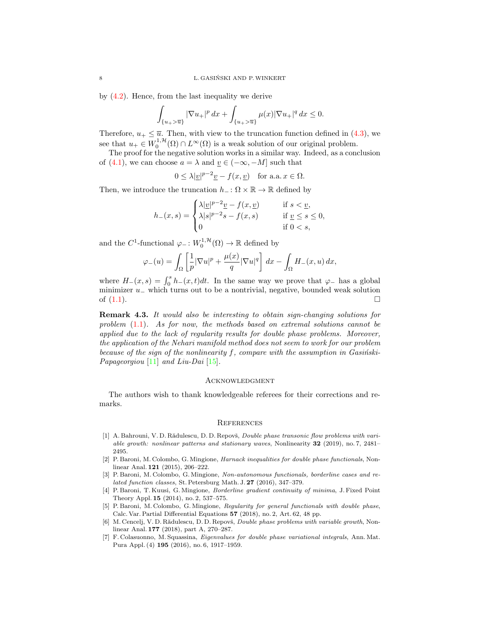by [\(4.2\)](#page-5-2). Hence, from the last inequality we derive

$$
\int_{\{u_+ > \overline{u}\}} |\nabla u_+|^p \, dx + \int_{\{u_+ > \overline{u}\}} \mu(x) |\nabla u_+|^q \, dx \le 0.
$$

Therefore,  $u_+ \leq \overline{u}$ . Then, with view to the truncation function defined in [\(4.3\)](#page-5-1), we see that  $u_+ \in W_0^{1,\mathcal{H}}(\Omega) \cap L^{\infty}(\Omega)$  is a weak solution of our original problem.

The proof for the negative solution works in a similar way. Indeed, as a conclusion of [\(4.1\)](#page-5-0), we can choose  $a = \lambda$  and  $\underline{v} \in (-\infty, -M]$  such that

 $0 \leq \lambda |y|^{p-2}y - f(x, y)$  for a.a.  $x \in \Omega$ .

Then, we introduce the truncation  $h_-\colon\Omega\times\mathbb{R}\to\mathbb{R}$  defined by

$$
h_{-}(x,s) = \begin{cases} \lambda |\underline{v}|^{p-2} \underline{v} - f(x,\underline{v}) & \text{if } s < \underline{v}, \\ \lambda |s|^{p-2} s - f(x,s) & \text{if } \underline{v} \le s \le 0, \\ 0 & \text{if } 0 < s, \end{cases}
$$

and the  $C^1$ -functional  $\varphi_-\colon W_0^{1,\mathcal{H}}(\Omega) \to \mathbb{R}$  defined by

$$
\varphi_{-}(u) = \int_{\Omega} \left[ \frac{1}{p} |\nabla u|^p + \frac{\mu(x)}{q} |\nabla u|^q \right] dx - \int_{\Omega} H_{-}(x, u) dx,
$$

where  $H_-(x, s) = \int_0^s h_-(x, t)dt$ . In the same way we prove that  $\varphi_-$  has a global minimizer  $u_$  which turns out to be a nontrivial, negative, bounded weak solution of  $(1.1)$ .

Remark 4.3. It would also be interesting to obtain sign-changing solutions for problem [\(1.1\)](#page-0-0). As for now, the methods based on extremal solutions cannot be applied due to the lack of regularity results for double phase problems. Moreover, the application of the Nehari manifold method does not seem to work for our problem because of the sign of the nonlinearity f, compare with the assumption in Gasinski-Papageorgiou [\[11\]](#page-8-0) and Liu-Dai [\[15\]](#page-8-12).

#### **ACKNOWLEDGMENT**

The authors wish to thank knowledgeable referees for their corrections and remarks.

#### **REFERENCES**

- <span id="page-7-5"></span>[1] A. Bahrouni, V. D. Rădulescu, D. D. Repovš, *Double phase transonic flow problems with vari*able growth: nonlinear patterns and stationary waves, Nonlinearity 32 (2019), no. 7, 2481– 2495.
- <span id="page-7-0"></span>[2] P. Baroni, M. Colombo, G. Mingione, Harnack inequalities for double phase functionals, Nonlinear Anal. 121 (2015), 206–222.
- <span id="page-7-1"></span>[3] P. Baroni, M. Colombo, G. Mingione, Non-autonomous functionals, borderline cases and related function classes, St. Petersburg Math. J. 27 (2016), 347–379.
- <span id="page-7-3"></span>[4] P. Baroni, T. Kuusi, G. Mingione, Borderline gradient continuity of minima, J. Fixed Point Theory Appl. 15 (2014), no. 2, 537–575.
- <span id="page-7-2"></span>[5] P. Baroni, M. Colombo, G. Mingione, Regularity for general functionals with double phase, Calc. Var. Partial Differential Equations 57 (2018), no. 2, Art. 62, 48 pp.
- <span id="page-7-6"></span>[6] M. Cencelj, V. D. Rădulescu, D. D. Repovš, *Double phase problems with variable growth*, Nonlinear Anal. 177 (2018), part A, 270–287.
- <span id="page-7-4"></span>[7] F. Colasuonno, M. Squassina, Eigenvalues for double phase variational integrals, Ann. Mat. Pura Appl. (4) 195 (2016), no. 6, 1917–1959.